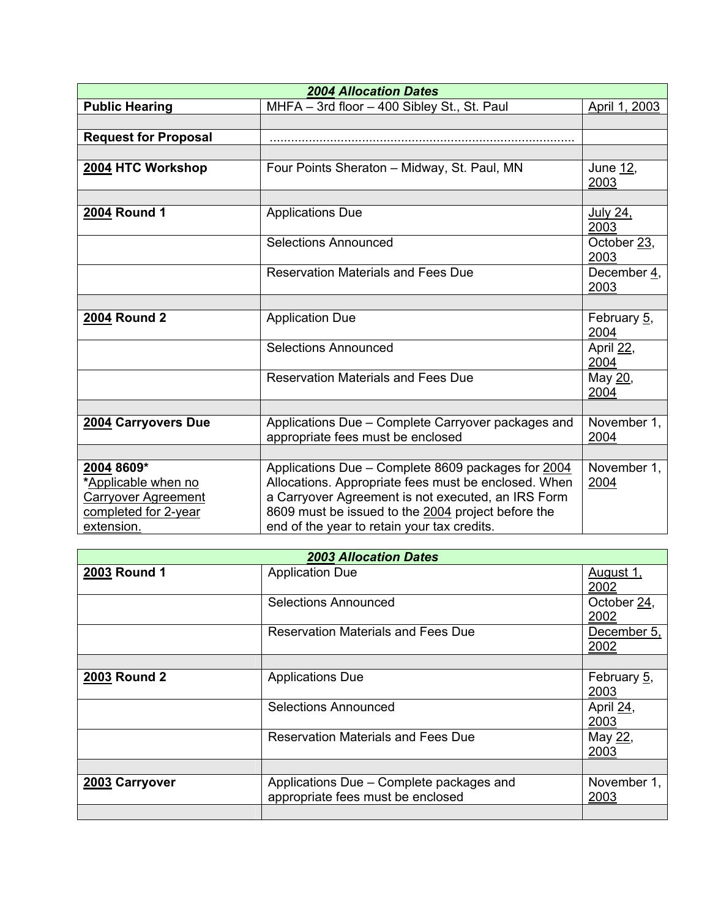| <b>2004 Allocation Dates</b> |                                                                                         |                     |  |  |
|------------------------------|-----------------------------------------------------------------------------------------|---------------------|--|--|
| <b>Public Hearing</b>        | MHFA - 3rd floor - 400 Sibley St., St. Paul                                             | April 1, 2003       |  |  |
|                              |                                                                                         |                     |  |  |
| <b>Request for Proposal</b>  |                                                                                         |                     |  |  |
|                              |                                                                                         |                     |  |  |
| 2004 HTC Workshop            | Four Points Sheraton - Midway, St. Paul, MN                                             | June 12,<br>2003    |  |  |
|                              |                                                                                         |                     |  |  |
| 2004 Round 1                 | <b>Applications Due</b>                                                                 | July 24,<br>2003    |  |  |
|                              | <b>Selections Announced</b>                                                             | October 23,<br>2003 |  |  |
|                              | <b>Reservation Materials and Fees Due</b>                                               | December 4,<br>2003 |  |  |
|                              |                                                                                         |                     |  |  |
| <b>2004 Round 2</b>          | <b>Application Due</b>                                                                  | February 5,<br>2004 |  |  |
|                              | <b>Selections Announced</b>                                                             | April 22,<br>2004   |  |  |
|                              | <b>Reservation Materials and Fees Due</b>                                               | May 20,<br>2004     |  |  |
|                              |                                                                                         |                     |  |  |
| 2004 Carryovers Due          | Applications Due - Complete Carryover packages and<br>appropriate fees must be enclosed | November 1,<br>2004 |  |  |
|                              |                                                                                         |                     |  |  |
| 2004 8609*                   | Applications Due - Complete 8609 packages for 2004                                      | November 1,         |  |  |
| *Applicable when no          | Allocations. Appropriate fees must be enclosed. When                                    | 2004                |  |  |
| <b>Carryover Agreement</b>   | a Carryover Agreement is not executed, an IRS Form                                      |                     |  |  |
| completed for 2-year         | 8609 must be issued to the 2004 project before the                                      |                     |  |  |
| extension.                   | end of the year to retain your tax credits.                                             |                     |  |  |

| <b>2003 Allocation Dates</b> |                                                                               |                     |  |
|------------------------------|-------------------------------------------------------------------------------|---------------------|--|
| 2003 Round 1                 | <b>Application Due</b>                                                        | August 1,<br>2002   |  |
|                              | Selections Announced                                                          | October 24,<br>2002 |  |
|                              | Reservation Materials and Fees Due                                            | December 5,<br>2002 |  |
|                              |                                                                               |                     |  |
| 2003 Round 2                 | <b>Applications Due</b>                                                       | February 5,<br>2003 |  |
|                              | Selections Announced                                                          | April 24,<br>2003   |  |
|                              | <b>Reservation Materials and Fees Due</b>                                     | May 22,<br>2003     |  |
|                              |                                                                               |                     |  |
| 2003 Carryover               | Applications Due - Complete packages and<br>appropriate fees must be enclosed | November 1,<br>2003 |  |
|                              |                                                                               |                     |  |